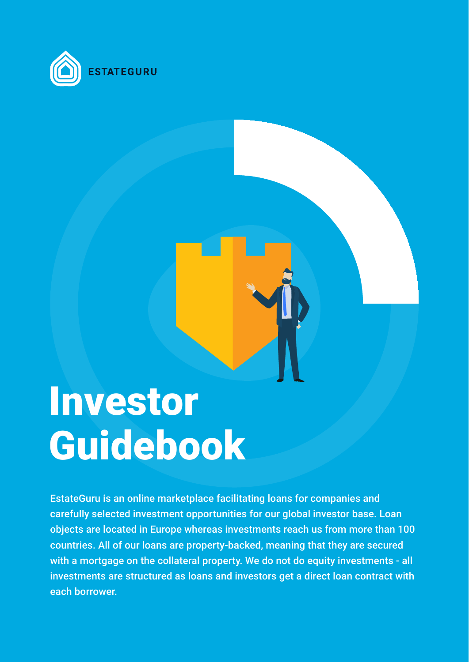

# Investor Guidebook

EstateGuru is an online marketplace facilitating loans for companies and

carefully selected investment opportunities for our global investor base. Loan objects are located in Europe whereas investments reach us from more than 100 countries. All of our loans are property-backed, meaning that they are secured with a mortgage on the collateral property. We do not do equity investments - all investments are structured as loans and investors get a direct loan contract with each borrower.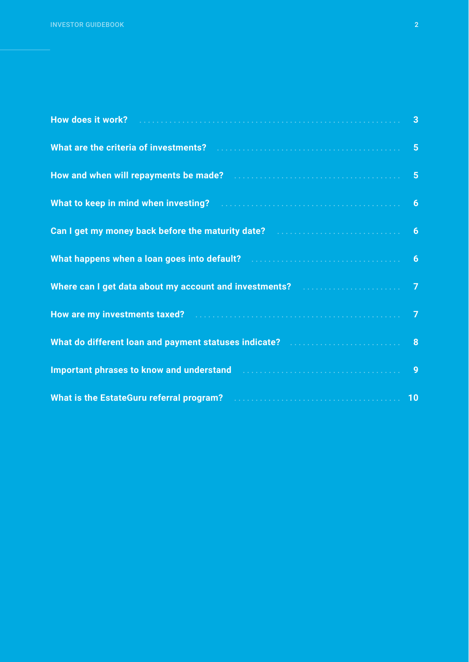| How does it work? Martin Allen and Martin Martin Allen and Martin Allen and Martin Allen and Martin Allen and   |           |
|-----------------------------------------------------------------------------------------------------------------|-----------|
|                                                                                                                 |           |
| How and when will repayments be made? Material Account of the set of the state of the state of the state of the |           |
| What to keep in mind when investing? Mathematical Contracts and the September of September 1997                 |           |
| Can I get my money back before the maturity date? Maturity of the contract of the candidate?                    |           |
| What happens when a loan goes into default? Manuscription of the state of the state of the SM of the SM of the  |           |
| Where can I get data about my account and investments? Material Account 2014 10                                 |           |
| How are my investments taxed? <b>Engineeral Contract Contract and T</b>                                         |           |
| What do different loan and payment statuses indicate? Manuscription and B                                       |           |
| Important phrases to know and understand <b>Engineeral Manuscript Constant Phrases to know and understand</b>   | 9         |
|                                                                                                                 | <b>10</b> |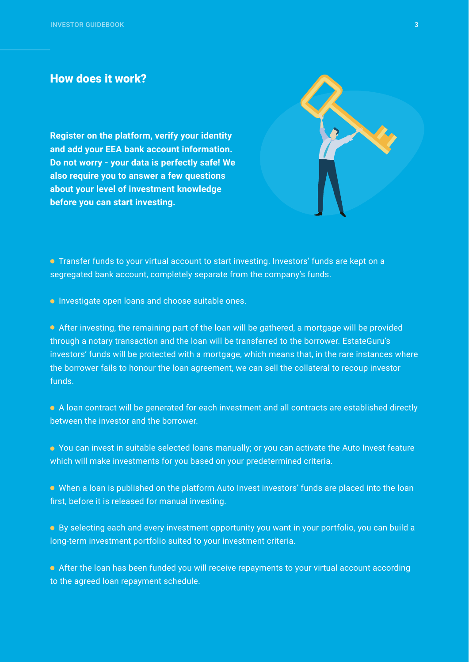**Register on the platform, verify your identity and add your EEA bank account information. Do not worry - your data is perfectly safe! We also require you to answer a few questions about your level of investment knowledge before you can start investing.** 



 Transfer funds to your virtual account to start investing. Investors' funds are kept on a segregated bank account, completely separate from the company's funds.

**• Investigate open loans and choose suitable ones.** 

 After investing, the remaining part of the loan will be gathered, a mortgage will be provided through a notary transaction and the loan will be transferred to the borrower. EstateGuru's investors' funds will be protected with a mortgage, which means that, in the rare instances where the borrower fails to honour the loan agreement, we can sell the collateral to recoup investor funds.

 A loan contract will be generated for each investment and all contracts are established directly between the investor and the borrower.

 You can invest in suitable selected loans manually; or you can activate the Auto Invest feature which will make investments for you based on your predetermined criteria.

When a loan is published on the platform Auto Invest investors' funds are placed into the loan

first, before it is released for manual investing.

 By selecting each and every investment opportunity you want in your portfolio, you can build a long-term investment portfolio suited to your investment criteria.

 After the loan has been funded you will receive repayments to your virtual account according to the agreed loan repayment schedule.

#### How does it work?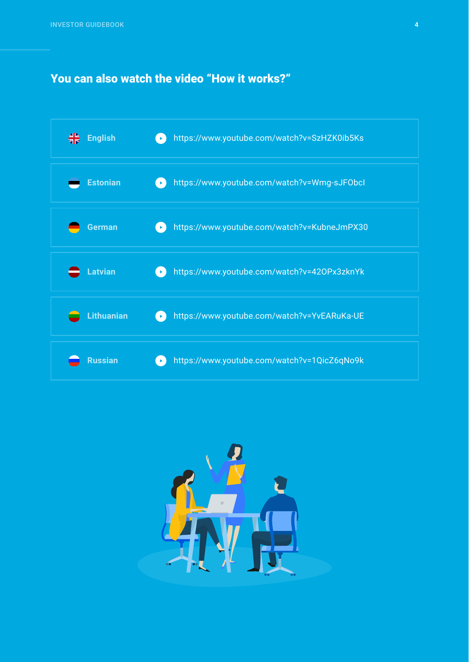#### You can also watch the video "How it works?"

| ╬<br><b>English</b> | https://www.youtube.com/watch?v=SzHZK0ib5Ks<br>$\blacktriangleright$                                    |
|---------------------|---------------------------------------------------------------------------------------------------------|
| <b>Estonian</b>     | https://www.youtube.com/watch?v=Wmg-sJFObcl                                                             |
| <b>German</b>       | https://www.youtube.com/watch?v=KubneJmPX30<br>$\blacktriangleright$                                    |
| <b>Latvian</b>      | https://www.youtube.com/watch?v=420Px3zknYk<br>$\left( \begin{array}{c} \mathbf{b} \end{array} \right)$ |
| <b>Lithuanian</b>   | https://www.youtube.com/watch?v=YvEARuKa-UE<br>$\blacktriangleright$                                    |
| <b>Russian</b>      | https://www.youtube.com/watch?v=1QicZ6qNo9k<br>$\blacktriangleright$                                    |

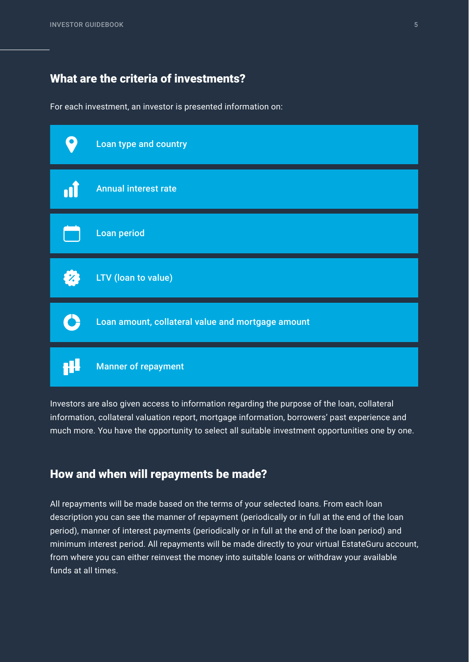For each investment, an investor is presented information on:

Investors are also given access to information regarding the purpose of the loan, collateral information, collateral valuation report, mortgage information, borrowers' past experience and much more. You have the opportunity to select all suitable investment opportunities one by one.

#### What are the criteria of investments?



#### How and when will repayments be made?

All repayments will be made based on the terms of your selected loans. From each loan description you can see the manner of repayment (periodically or in full at the end of the loan period), manner of interest payments (periodically or in full at the end of the loan period) and minimum interest period. All repayments will be made directly to your virtual EstateGuru account, from where you can either reinvest the money into suitable loans or withdraw your available funds at all times.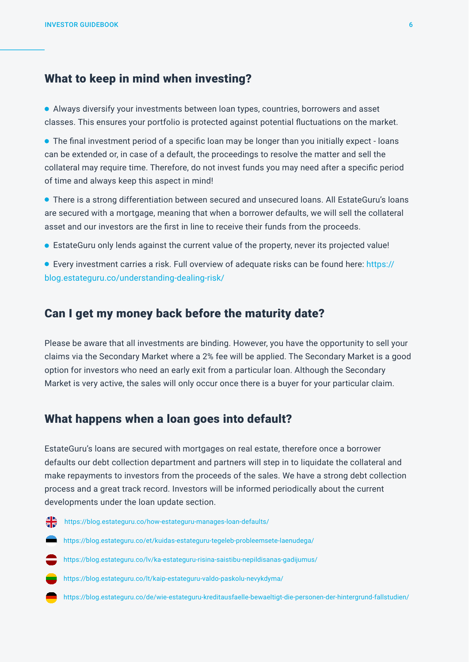#### What to keep in mind when investing?

 Always diversify your investments between loan types, countries, borrowers and asset classes. This ensures your portfolio is protected against potential fluctuations on the market.

 The final investment period of a specific loan may be longer than you initially expect - loans can be extended or, in case of a default, the proceedings to resolve the matter and sell the collateral may require time. Therefore, do not invest funds you may need after a specific period of time and always keep this aspect in mind!

 There is a strong differentiation between secured and unsecured loans. All EstateGuru's loans are secured with a mortgage, meaning that when a borrower defaults, we will sell the collateral asset and our investors are the first in line to receive their funds from the proceeds.

EstateGuru only lends against the current value of the property, never its projected value!

 Every investment carries a risk. Full overview of adequate risks can be found here: https:// blog.estateguru.co/understanding-dealing-risk/

#### Can I get my money back before the maturity date?

Please be aware that all investments are binding. However, you have the opportunity to sell your claims via the Secondary Market where a 2% fee will be applied. The Secondary Market is a good option for investors who need an early exit from a particular loan. Although the Secondary Market is very active, the sales will only occur once there is a buyer for your particular claim.

#### What happens when a loan goes into default?

EstateGuru's loans are secured with mortgages on real estate, therefore once a borrower defaults our debt collection department and partners will step in to liquidate the collateral and make repayments to investors from the proceeds of the sales. We have a strong debt collection process and a great track record. Investors will be informed periodically about the current

#### developments under the loan update section.



https://blog.estateguru.co/how-estateguru-manages-loan-defaults/



https://blog.estateguru.co/et/kuidas-estateguru-tegeleb-probleemsete-laenudega/



https://blog.estateguru.co/lv/ka-estateguru-risina-saistibu-nepildisanas-gadijumus/



https://blog.estateguru.co/lt/kaip-estateguru-valdo-paskolu-nevykdyma/

https://blog.estateguru.co/de/wie-estateguru-kreditausfaelle-bewaeltigt-die-personen-der-hintergrund-fallstudien/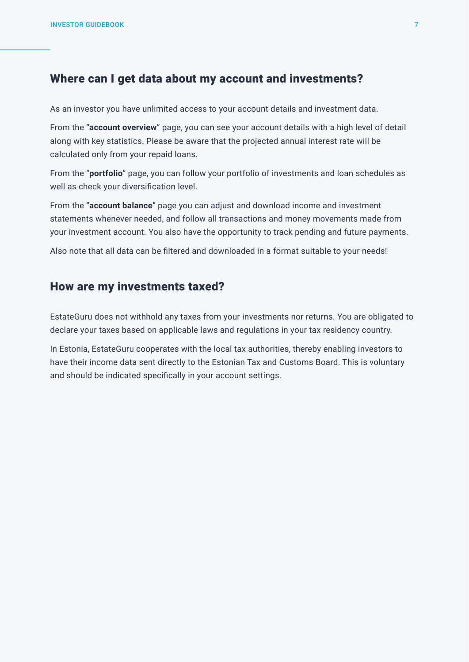#### Where can I get data about my account and investments?

#### How are my investments taxed?

As an investor you have unlimited access to your account details and investment data.

From the "**account overview**" page, you can see your account details with a high level of detail along with key statistics. Please be aware that the projected annual interest rate will be calculated only from your repaid loans.

From the "**portfolio**" page, you can follow your portfolio of investments and loan schedules as well as check your diversification level.

From the "**account balance**" page you can adjust and download income and investment statements whenever needed, and follow all transactions and money movements made from your investment account. You also have the opportunity to track pending and future payments.

Also note that all data can be filtered and downloaded in a format suitable to your needs!

EstateGuru does not withhold any taxes from your investments nor returns. You are obligated to declare your taxes based on applicable laws and regulations in your tax residency country.

In Estonia, EstateGuru cooperates with the local tax authorities, thereby enabling investors to have their income data sent directly to the Estonian Tax and Customs Board. This is voluntary and should be indicated specifically in your account settings.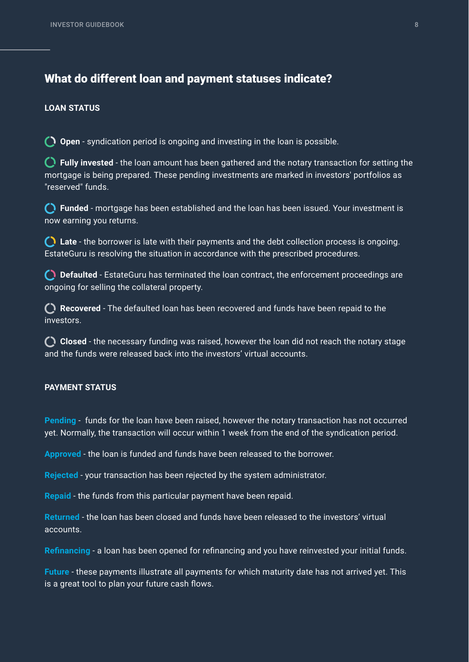#### What do different loan and payment statuses indicate?

#### **LOAN STATUS**

**Open** - syndication period is ongoing and investing in the loan is possible.

**Fully invested** - the loan amount has been gathered and the notary transaction for setting the mortgage is being prepared. These pending investments are marked in investors' portfolios as "reserved" funds.

**Funded** - mortgage has been established and the loan has been issued. Your investment is now earning you returns.

**C** Recovered - The defaulted loan has been recovered and funds have been repaid to the investors.

**Late** - the borrower is late with their payments and the debt collection process is ongoing. EstateGuru is resolving the situation in accordance with the prescribed procedures.

**Defaulted** - EstateGuru has terminated the loan contract, the enforcement proceedings are ongoing for selling the collateral property.

**Closed** - the necessary funding was raised, however the loan did not reach the notary stage and the funds were released back into the investors' virtual accounts.

#### **PAYMENT STATUS**

**Pending** - funds for the loan have been raised, however the notary transaction has not occurred yet. Normally, the transaction will occur within 1 week from the end of the syndication period.

**Approved** - the loan is funded and funds have been released to the borrower.

**Rejected** - your transaction has been rejected by the system administrator.

**Repaid** - the funds from this particular payment have been repaid.

**Returned** - the loan has been closed and funds have been released to the investors' virtual accounts.

**Refinancing** - a loan has been opened for refinancing and you have reinvested your initial funds.

**Future** - these payments illustrate all payments for which maturity date has not arrived yet. This is a great tool to plan your future cash flows.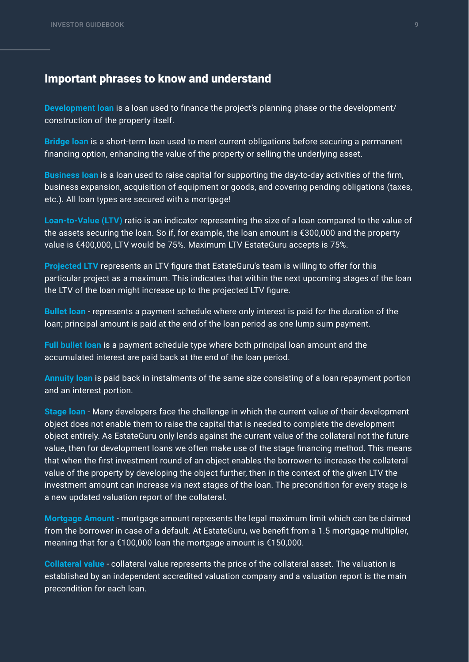#### Important phrases to know and understand

**Development loan** is a loan used to finance the project's planning phase or the development/ construction of the property itself.

**Bridge loan** is a short-term loan used to meet current obligations before securing a permanent financing option, enhancing the value of the property or selling the underlying asset.

**Business loan** is a loan used to raise capital for supporting the day-to-day activities of the firm, business expansion, acquisition of equipment or goods, and covering pending obligations (taxes, etc.). All loan types are secured with a mortgage!

**Loan-to-Value (LTV)** ratio is an indicator representing the size of a loan compared to the value of the assets securing the loan. So if, for example, the loan amount is €300,000 and the property value is €400,000, LTV would be 75%. Maximum LTV EstateGuru accepts is 75%.

**Projected LTV** represents an LTV figure that EstateGuru's team is willing to offer for this particular project as a maximum. This indicates that within the next upcoming stages of the loan the LTV of the loan might increase up to the projected LTV figure.

**Bullet loan** - represents a payment schedule where only interest is paid for the duration of the loan; principal amount is paid at the end of the loan period as one lump sum payment.

**Full bullet loan** is a payment schedule type where both principal loan amount and the accumulated interest are paid back at the end of the loan period.

**Annuity loan** is paid back in instalments of the same size consisting of a loan repayment portion and an interest portion.

**Stage loan** - Many developers face the challenge in which the current value of their development object does not enable them to raise the capital that is needed to complete the development object entirely. As EstateGuru only lends against the current value of the collateral not the future value, then for development loans we often make use of the stage financing method. This means that when the first investment round of an object enables the borrower to increase the collateral value of the property by developing the object further, then in the context of the given LTV the investment amount can increase via next stages of the loan. The precondition for every stage is a new updated valuation report of the collateral.

**Mortgage Amount** - mortgage amount represents the legal maximum limit which can be claimed from the borrower in case of a default. At EstateGuru, we benefit from a 1.5 mortgage multiplier, meaning that for a €100,000 loan the mortgage amount is €150,000.

**Collateral value** - collateral value represents the price of the collateral asset. The valuation is established by an independent accredited valuation company and a valuation report is the main precondition for each loan.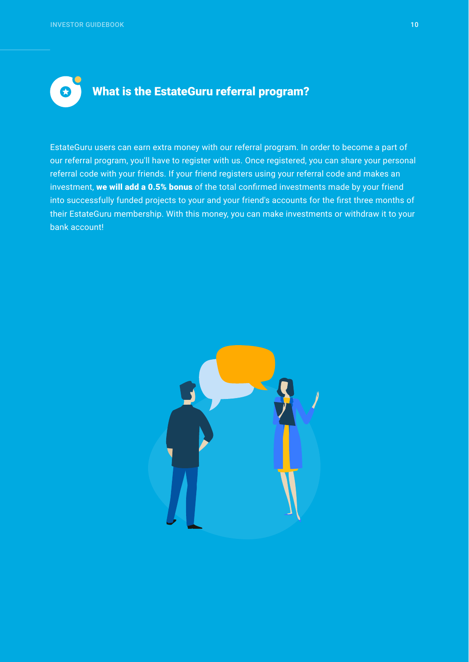EstateGuru users can earn extra money with our referral program. In order to become a part of our referral program, you'll have to register with us. Once registered, you can share your personal referral code with your friends. If your friend registers using your referral code and makes an investment, we will add a 0.5% bonus of the total confirmed investments made by your friend into successfully funded projects to your and your friend's accounts for the first three months of their EstateGuru membership. With this money, you can make investments or withdraw it to your bank account!





 $\boldsymbol{\Omega}$ 

### What is the EstateGuru referral program?